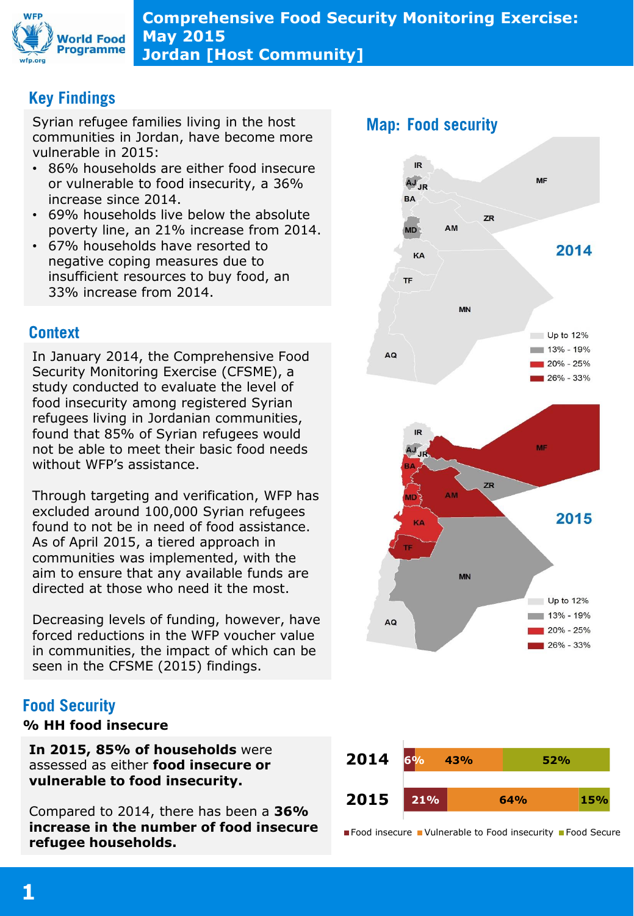

**Comprehensive Food Security Monitoring Exercise: May 2015 Jordan [Host Community]**

# **Key Findings**

Syrian refugee families living in the host communities in Jordan, have become more vulnerable in 2015:

- 86% households are either food insecure or vulnerable to food insecurity, a 36% increase since 2014.
- 69% households live below the absolute poverty line, an 21% increase from 2014.
- 67% households have resorted to negative coping measures due to insufficient resources to buy food, an 33% increase from 2014.

## **Context**

In January 2014, the Comprehensive Food Security Monitoring Exercise (CFSME), a study conducted to evaluate the level of food insecurity among registered Syrian refugees living in Jordanian communities, found that 85% of Syrian refugees would not be able to meet their basic food needs without WFP's assistance.

Through targeting and verification, WFP has excluded around 100,000 Syrian refugees found to not be in need of food assistance. As of April 2015, a tiered approach in communities was implemented, with the aim to ensure that any available funds are directed at those who need it the most.

Decreasing levels of funding, however, have forced reductions in the WFP voucher value in communities, the impact of which can be seen in the CFSME (2015) findings.

## **Food Security**

#### **% HH food insecure**

**In 2015, 85% of households** were assessed as either **food insecure or vulnerable to food insecurity.**

Compared to 2014, there has been a **36% increase in the number of food insecure refugee households.**





■ Food insecure ■ Vulnerable to Food insecurity ■ Food Secure